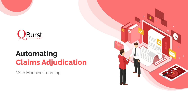

# **Automating Claims Adjudication**

With Machine Learning

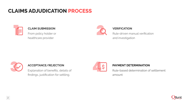## **CLAIMS ADJUDICATION PROCESS**



#### **CLAIM SUBMISSION**

From policy holder or healthcare provider



#### **VERIFICATION**

Rule-driven manual verification and investigation



#### **ACCEPTANCE/REJECTION**

Explanation of benefits, details of findings, justification for settling.



#### **PAYMENT DETERMINATION**

Rule-based determination of settlement amount

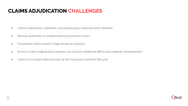### **CLAIMS ADJUDICATION CHALLENGES**

- Claims submission, collection, and processing is data and time intensive
- Manual verification is cumbersome and prone to errors
- Fraudulent claims result in huge losses to business
- Errors in claims adjudication process can result in additional effort and customer dissatisfaction
- Claims is a contact intensive part of the insurance customer lifecycle

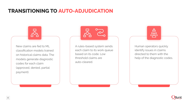### **TRANSITIONING TO AUTO-ADJUDICATION**

New claims are fed to ML classification models trained on historical claims data. The models generate diagnostic codes for each claim (approved, denied, partial payment).

A rules-based system sends each claim to its work queue based on its code. Low threshold claims are auto-cleared.

<u> 47</u> සි

Human operators quickly identify issues in claims directed to them with the help of the diagnostic codes.

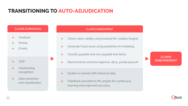### **TRANSITIONING TO AUTO-ADJUDICATION**

#### **CLAIMS SUBMISSION**

- Chatbots
- **Portals**
- Emails
- OCR
- Handwriting recognition
- Data extraction and classification

#### **CLAIMS ASSESSMENT**

- Check claim validity using trained ML models/engine
- **•** Generate fraud score using predictive AI modeling
- Classify payable and non-payable line items
- Recommend outcome (approve, deny, partial payout)
- **•** System is trained with historical data
- **•** Feedback provided to ML engine for continuous learning and improved accuracy

**CLAIMS DISBURSEMENT**

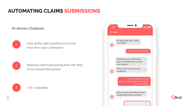## **AUTOMATING CLAIMS SUBMISSIONS**

#### **AI-driven Chatbots**



Asks all the right questions to ensure error-free claim submission



Reduces claims processing time with little to no manual intervention



3 24X7 availability

|  | Hi Jane! How may I help<br>you today?                                            |
|--|----------------------------------------------------------------------------------|
|  | 11.32 AM                                                                         |
|  | I want to submit a claim.                                                        |
|  | 11.32 AM                                                                         |
|  | Please help me with some<br>basic information to process<br>your request.        |
|  | What is the nature of your<br>condition?                                         |
|  | 11.32 AM                                                                         |
|  | I was involved in a road<br>accident. Doc says I may have to<br>go into surgery. |
|  | 11.32 AM                                                                         |

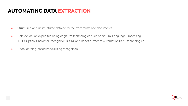### **AUTOMATING DATA EXTRACTION**

- Structured and unstructured data extracted from forms and documents
- Data extraction expedited using cognitive technologies such as Natural Language Processing (NLP), Optical Character Recognition (OCR), and Robotic Process Automation (RPA) technologies
- Deep learning-based handwriting recognition

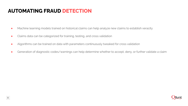### **AUTOMATING FRAUD DETECTION**

- Machine learning models trained on historical claims can help analyze new claims to establish veracity
- Claims data can be categorized for training, testing, and cross validation
- Algorithms can be trained on data with parameters continuously tweaked for cross validation
- Generation of diagnostic codes/warnings can help determine whether to accept, deny, or further validate a claim

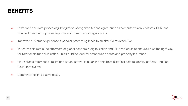#### **BENEFITS**

- Faster and accurate processing: Integration of cognitive technologies, such as computer vision, chatbots, OCR, and RPA, reduces claims processing time and human errors significantly.
- **Improved customer experience: Speedier processing leads to quicker claims resolution.**
- Touchless claims: In the aftermath of global pandemic, digitalization and ML-enabled solutions would be the right way forward for claims adjudication. This would be ideal for areas such as auto and property insurance.
- Fraud-free settlements: Pre-trained neural networks glean insights from historical data to identify patterns and flag fraudulent claims.
- Better insights into claims costs.